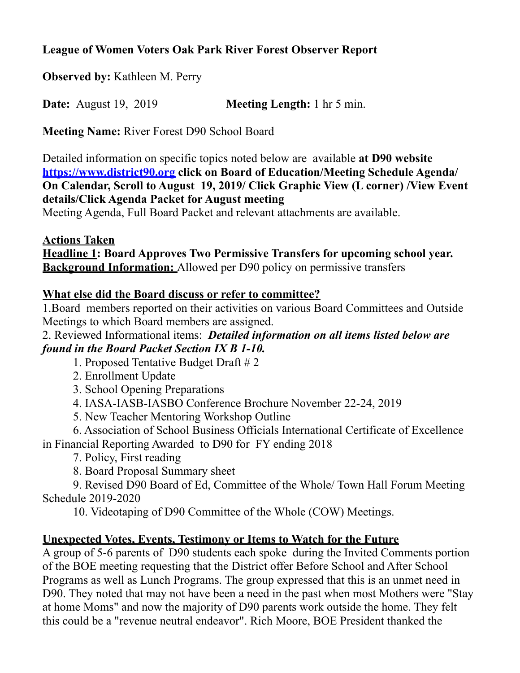## **League of Women Voters Oak Park River Forest Observer Report**

**Observed by:** Kathleen M. Perry

**Date:** August 19, 2019 **Meeting Length:** 1 hr 5 min.

**Meeting Name:** River Forest D90 School Board

Detailed information on specific topics noted below are available **at D90 website <https://www.district90.org>click on Board of Education/Meeting Schedule Agenda/ On Calendar, Scroll to August 19, 2019/ Click Graphic View (L corner) /View Event details/Click Agenda Packet for August meeting** 

Meeting Agenda, Full Board Packet and relevant attachments are available.

#### **Actions Taken**

**Headline 1: Board Approves Two Permissive Transfers for upcoming school year. Background Information:** Allowed per D90 policy on permissive transfers

## **What else did the Board discuss or refer to committee?**

1.Board members reported on their activities on various Board Committees and Outside Meetings to which Board members are assigned.

#### 2. Reviewed Informational items: *Detailed information on all items listed below are found in the Board Packet Section IX B 1-10.*

- 1. Proposed Tentative Budget Draft # 2
- 2. Enrollment Update
- 3. School Opening Preparations
- 4. IASA-IASB-IASBO Conference Brochure November 22-24, 2019
- 5. New Teacher Mentoring Workshop Outline

 6. Association of School Business Officials International Certificate of Excellence in Financial Reporting Awarded to D90 for FY ending 2018

- 7. Policy, First reading
- 8. Board Proposal Summary sheet

 9. Revised D90 Board of Ed, Committee of the Whole/ Town Hall Forum Meeting Schedule 2019-2020

10. Videotaping of D90 Committee of the Whole (COW) Meetings.

# **Unexpected Votes, Events, Testimony or Items to Watch for the Future**

A group of 5-6 parents of D90 students each spoke during the Invited Comments portion of the BOE meeting requesting that the District offer Before School and After School Programs as well as Lunch Programs. The group expressed that this is an unmet need in D90. They noted that may not have been a need in the past when most Mothers were "Stay at home Moms" and now the majority of D90 parents work outside the home. They felt this could be a "revenue neutral endeavor". Rich Moore, BOE President thanked the